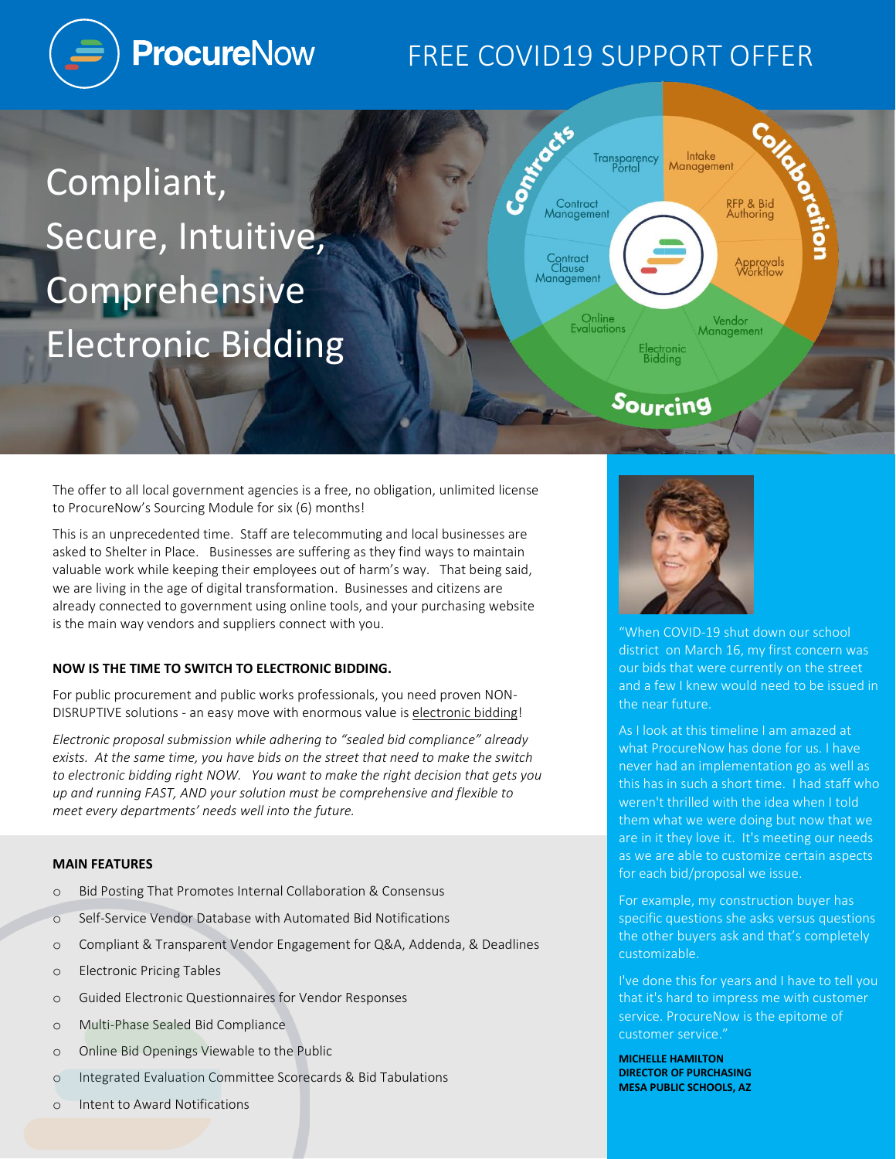

# FREE COVID19 SUPPORT OFFER

Transparency<br>Portal

Control Com

Contract<br>Management

Contract<br>Clause<br>Management

**Online**<br>Evaluations

Compliant, Secure, Intuitive, Comprehensive Electronic Bidding

The offer to all local government agencies is a free, no obligation, unlimited license to ProcureNow's Sourcing Module for six (6) months!

This is an unprecedented time. Staff are telecommuting and local businesses are asked to Shelter in Place. Businesses are suffering as they find ways to maintain valuable work while keeping their employees out of harm's way. That being said, we are living in the age of digital transformation. Businesses and citizens are already connected to government using online tools, and your purchasing website is the main way vendors and suppliers connect with you.

# **NOW IS THE TIME TO SWITCH TO ELECTRONIC BIDDING.**

For public procurement and public works professionals, you need proven NON-DISRUPTIVE solutions - an easy move with enormous value is electronic bidding!

*Electronic proposal submission while adhering to "sealed bid compliance" already exists. At the same time, you have bids on the street that need to make the switch to electronic bidding right NOW. You want to make the right decision that gets you up and running FAST, AND your solution must be comprehensive and flexible to meet every departments' needs well into the future.*

#### **MAIN FEATURES**

- o Bid Posting That Promotes Internal Collaboration & Consensus
- o Self-Service Vendor Database with Automated Bid Notifications
- o Compliant & Transparent Vendor Engagement for Q&A, Addenda, & Deadlines
- o Electronic Pricing Tables
- o Guided Electronic Questionnaires for Vendor Responses
- o Multi-Phase Sealed Bid Compliance
- o Online Bid Openings Viewable to the Public
- o Integrated Evaluation Committee Scorecards & Bid Tabulations
- o Intent to Award Notifications



Electronic<br>Bidding

Sourcing

Intake

Management

"When COVID-19 shut down our school district on March 16, my first concern was our bids that were currently on the street and a few I knew would need to be issued in the near future.

**Collection** 

RFP & Bid<br>Authoring

Approval<mark>s</mark><br>Workflow

Vendor<br>Management

As I look at this timeline I am amazed at what ProcureNow has done for us. I have never had an implementation go as well as this has in such a short time. I had staff who weren't thrilled with the idea when I told them what we were doing but now that we are in it they love it. It's meeting our needs as we are able to customize certain aspects for each bid/proposal we issue.

For example, my construction buyer has specific questions she asks versus questions the other buyers ask and that's completely customizable.

I've done this for years and I have to tell you that it's hard to impress me with customer service. ProcureNow is the epitome of customer service."

**MICHELLE HAMILTON DIRECTOR OF PURCHASING MESA PUBLIC SCHOOLS, AZ**